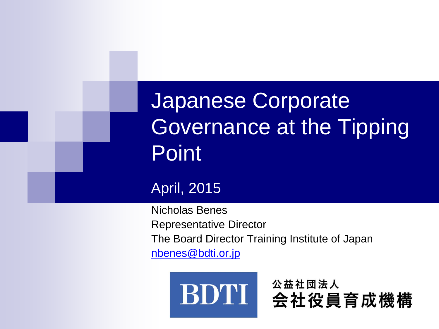Japanese Corporate Governance at the Tipping Point

#### April, 2015

Nicholas Benes Representative Director The Board Director Training Institute of Japan [nbenes@bdti.or.jp](mailto:nbenes@bdti.or.jp)

公益社団法人

会社役員育成機構

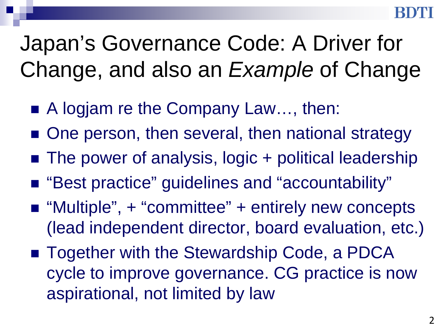# Japan's Governance Code: A Driver for Change, and also an *Example* of Change

- A logjam re the Company Law..., then:
- One person, then several, then national strategy
- The power of analysis, logic + political leadership
- "Best practice" guidelines and "accountability"
- "Multiple", + "committee" + entirely new concepts (lead independent director, board evaluation, etc.)
- Together with the Stewardship Code, a PDCA cycle to improve governance. CG practice is now aspirational, not limited by law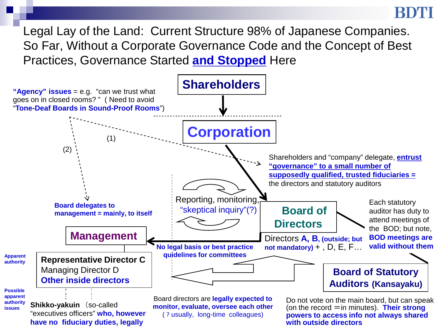Legal Lay of the Land: Current Structure 98% of Japanese Companies. So Far, Without a Corporate Governance Code and the Concept of Best Practices, Governance Started **and Stopped** Here

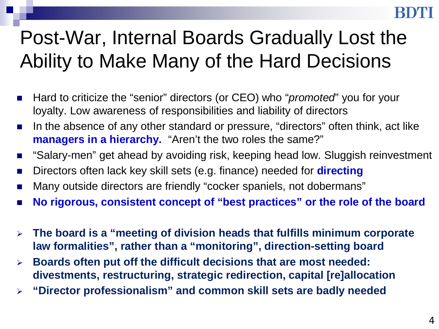## Post-War, Internal Boards Gradually Lost the Ability to Make Many of the Hard Decisions

- Hard to criticize the "senior" directors (or CEO) who "*promoted*" you for your loyalty. Low awareness of responsibilities and liability of directors
- In the absence of any other standard or pressure, "directors" often think, act like **managers in a hierarchy.** "Aren't the two roles the same?"
- "Salary-men" get ahead by avoiding risk, keeping head low. Sluggish reinvestment
- Directors often lack key skill sets (e.g. finance) needed for **directing**
- Many outside directors are friendly "cocker spaniels, not dobermans"
- **No rigorous, consistent concept of "best practices" or the role of the board**
- **The board is a "meeting of division heads that fulfills minimum corporate law formalities", rather than a "monitoring", direction-setting board**
- **Boards often put off the difficult decisions that are most needed: divestments, restructuring, strategic redirection, capital [re]allocation**
- **"Director professionalism" and common skill sets are badly needed**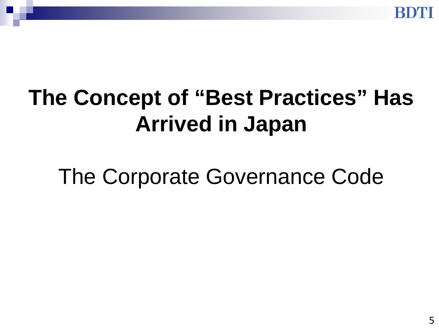

# **The Concept of "Best Practices" Has Arrived in Japan**

The Corporate Governance Code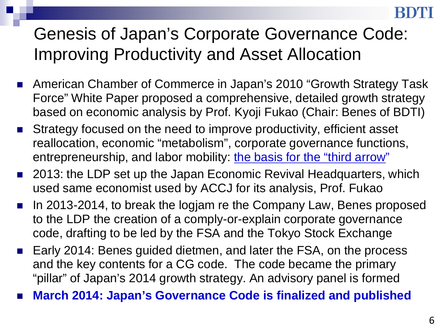### Genesis of Japan's Corporate Governance Code: Improving Productivity and Asset Allocation

- American Chamber of Commerce in Japan's 2010 "Growth Strategy Task Force" White Paper proposed a comprehensive, detailed growth strategy based on economic analysis by Prof. Kyoji Fukao (Chair: Benes of BDTI)
- **Strategy focused on the need to improve productivity, efficient asset** reallocation, economic "metabolism", corporate governance functions, entrepreneurship, and labor mobility: the basis for the "third arrow"
- 2013: the LDP set up the Japan Economic Revival Headquarters, which used same economist used by ACCJ for its analysis, Prof. Fukao
- In 2013-2014, to break the logjam re the Company Law, Benes proposed to the LDP the creation of a comply-or-explain corporate governance code, drafting to be led by the FSA and the Tokyo Stock Exchange
- Early 2014: Benes guided dietmen, and later the FSA, on the process and the key contents for a CG code. The code became the primary "pillar" of Japan's 2014 growth strategy. An advisory panel is formed
- **March 2014: Japan's Governance Code is finalized and published**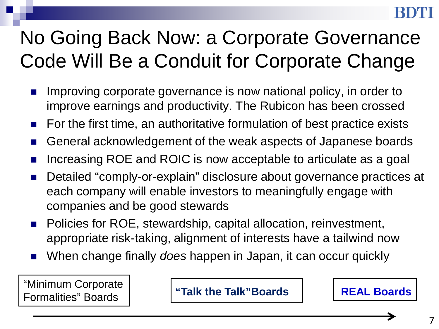## No Going Back Now: a Corporate Governance Code Will Be a Conduit for Corporate Change

- Improving corporate governance is now national policy, in order to improve earnings and productivity. The Rubicon has been crossed
- For the first time, an authoritative formulation of best practice exists
- General acknowledgement of the weak aspects of Japanese boards
- Increasing ROE and ROIC is now acceptable to articulate as a goal
- Detailed "comply-or-explain" disclosure about governance practices at each company will enable investors to meaningfully engage with companies and be good stewards
- Policies for ROE, stewardship, capital allocation, reinvestment, appropriate risk-taking, alignment of interests have a tailwind now
- When change finally *does* happen in Japan, it can occur quickly

"Minimum Corporate Formalities" Boards **"Talk the Talk"Boards REAL Boards**



7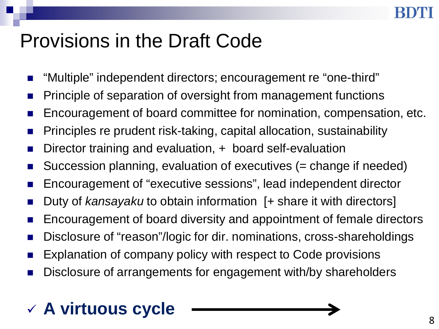### Provisions in the Draft Code

- "Multiple" independent directors; encouragement re "one-third"
- Principle of separation of oversight from management functions
- Encouragement of board committee for nomination, compensation, etc.
- Principles re prudent risk-taking, capital allocation, sustainability
- Director training and evaluation, + board self-evaluation
- Succession planning, evaluation of executives (= change if needed)
- Encouragement of "executive sessions", lead independent director
- Duty of *kansayaku* to obtain information [+ share it with directors]
- Encouragement of board diversity and appointment of female directors
- Disclosure of "reason"/logic for dir. nominations, cross-shareholdings
- Explanation of company policy with respect to Code provisions
- Disclosure of arrangements for engagement with/by shareholders

### **A virtuous cycle**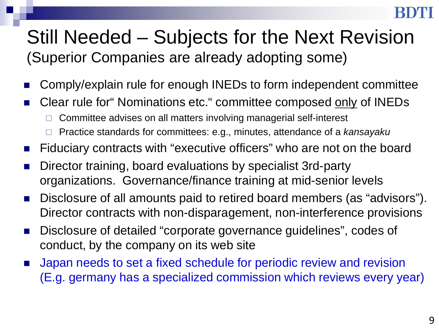### Still Needed – Subjects for the Next Revision (Superior Companies are already adopting some)

- Comply/explain rule for enough INEDs to form independent committee
- Clear rule for" Nominations etc." committee composed only of INEDs
	- $\Box$  Committee advises on all matters involving managerial self-interest
	- Practice standards for committees: e.g., minutes, attendance of a *kansayaku*
- Fiduciary contracts with "executive officers" who are not on the board
- Director training, board evaluations by specialist 3rd-party organizations. Governance/finance training at mid-senior levels
- Disclosure of all amounts paid to retired board members (as "advisors"). Director contracts with non-disparagement, non-interference provisions
- Disclosure of detailed "corporate governance guidelines", codes of conduct, by the company on its web site
- Japan needs to set a fixed schedule for periodic review and revision (E.g. germany has a specialized commission which reviews every year)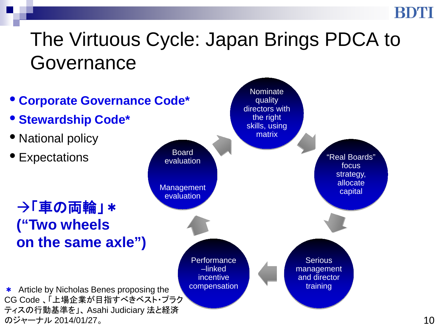### The Virtuous Cycle: Japan Brings PDCA to Governance

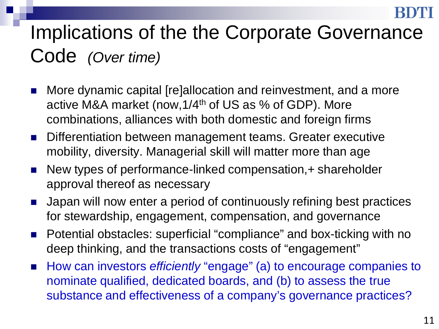### Implications of the the Corporate Governance Code *(Over time)*

- More dynamic capital [re]allocation and reinvestment, and a more active M&A market (now,1/4th of US as % of GDP). More combinations, alliances with both domestic and foreign firms
- Differentiation between management teams. Greater executive mobility, diversity. Managerial skill will matter more than age
- New types of performance-linked compensation, + shareholder approval thereof as necessary
- Japan will now enter a period of continuously refining best practices for stewardship, engagement, compensation, and governance
- Potential obstacles: superficial "compliance" and box-ticking with no deep thinking, and the transactions costs of "engagement"
- How can investors *efficiently* "engage" (a) to encourage companies to nominate qualified, dedicated boards, and (b) to assess the true substance and effectiveness of a company's governance practices?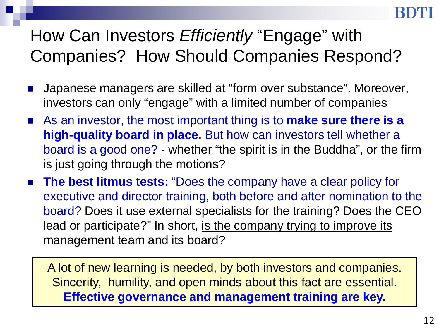### How Can Investors *Efficiently* "Engage" with Companies? How Should Companies Respond?

- Japanese managers are skilled at "form over substance". Moreover, investors can only "engage" with a limited number of companies
- As an investor, the most important thing is to **make sure there is a high-quality board in place.** But how can investors tell whether a board is a good one? - whether "the spirit is in the Buddha", or the firm is just going through the motions?
- **The best litmus tests:** "Does the company have a clear policy for executive and director training, both before and after nomination to the board? Does it use external specialists for the training? Does the CEO lead or participate?" In short, is the company trying to improve its management team and its board?

A lot of new learning is needed, by both investors and companies. Sincerity, humility, and open minds about this fact are essential. **Effective governance and management training are key.**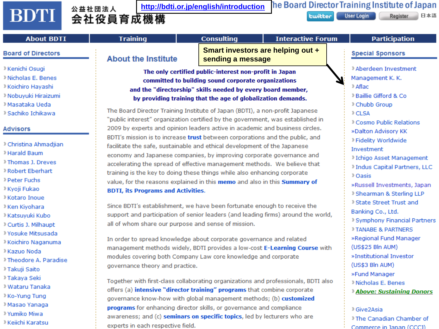#### **BDTI**

#### <sup>公益社団法人</sup> <http://bdti.or.jp/english/introduction><br>会社役員育成機構 公益社団法人

User Login **Ewitter** 

Register 日本語

| <b>About BDTI</b>                                                                                                                                                   | <b>Training</b>                                                                                                                                                                                                                                                                                                                                                                                                                                                                                                                                                                                                                                                                                                                                                                                                    | <b>Consulting</b>                                                                                                                                | <b>Interactive Forum</b> | <b>Participation</b>                                                                                                                                                                                                       |
|---------------------------------------------------------------------------------------------------------------------------------------------------------------------|--------------------------------------------------------------------------------------------------------------------------------------------------------------------------------------------------------------------------------------------------------------------------------------------------------------------------------------------------------------------------------------------------------------------------------------------------------------------------------------------------------------------------------------------------------------------------------------------------------------------------------------------------------------------------------------------------------------------------------------------------------------------------------------------------------------------|--------------------------------------------------------------------------------------------------------------------------------------------------|--------------------------|----------------------------------------------------------------------------------------------------------------------------------------------------------------------------------------------------------------------------|
| <b>Board of Directors</b>                                                                                                                                           | <b>About the Institute</b>                                                                                                                                                                                                                                                                                                                                                                                                                                                                                                                                                                                                                                                                                                                                                                                         | <b>Smart investors are helping out +</b><br>sending a message                                                                                    |                          | <b>Special Sponsors</b>                                                                                                                                                                                                    |
| » Kenichi Osugi<br>» Nicholas E. Benes<br>» Koichiro Hayashi<br>» Nobuyuki Hiraizumi<br>» Masataka Ueda<br>» Sachiko Ichikawa                                       | The only certified public-interest non-profit in Japan<br>committed to building sound corporate organizations<br>and the "directorship" skills needed by every board member,<br>by providing training that the age of globalization demands.<br>The Board Director Training Institute of Japan (BDTI), a non-profit Japanese<br>"public interest" organization certified by the government, was established in                                                                                                                                                                                                                                                                                                                                                                                                     |                                                                                                                                                  |                          | » Aberdeen Investment<br>Management K. K.<br>» Aflac<br>» Baillie Gifford & Co<br><sup>»</sup> Chubb Group<br>» CLSA<br>Cosmo Public Relations                                                                             |
| <b>Advisors</b>                                                                                                                                                     |                                                                                                                                                                                                                                                                                                                                                                                                                                                                                                                                                                                                                                                                                                                                                                                                                    | 2009 by experts and opinion leaders active in academic and business circles.                                                                     |                          |                                                                                                                                                                                                                            |
| » Christina Ahmadjian<br>» Harald Baum<br>» Thomas J. Dreves<br><b>Robert Eberhart</b><br>» Peter Fuchs<br>» Kyoji Fukao<br><b>X</b> Kotaro Inoue<br>» Ken Kiyohara | BDTI's mission is to increase trust between corporations and the public, and<br>facilitate the safe, sustainable and ethical development of the Japanese<br>economy and Japanese companies, by improving corporate governance and<br>accelerating the spread of effective management methods. We believe that<br>training is the key to doing these things while also enhancing corporate<br>value, for the reasons explained in this memo and also in this Summary of<br><b>BDTI, its Programs and Activities.</b><br>Since BDTI's establishment, we have been fortunate enough to receive the<br>support and participation of senior leaders (and leading firms) around the world,<br>all of whom share our purpose and sense of mission.<br>In order to spread knowledge about corporate governance and related |                                                                                                                                                  |                          | »Dalton Advisory KK<br>» Fidelity Worldwide<br>Investment<br>» Ichigo Asset Management<br>» Indus Capital Partners, LLC<br>» Oasis<br>»Russell Investments, Japan<br>» Shearman & Sterling LLP<br>» State Street Trust and |
| » Katsuyuki Kubo                                                                                                                                                    |                                                                                                                                                                                                                                                                                                                                                                                                                                                                                                                                                                                                                                                                                                                                                                                                                    |                                                                                                                                                  |                          | Banking Co., Ltd.<br><sup>»</sup> Symphony Financial Partners                                                                                                                                                              |
| <sup>»</sup> Curtis J. Milhaupt<br>» Yosuke Mitsusada<br>» Koichiro Naganuma                                                                                        |                                                                                                                                                                                                                                                                                                                                                                                                                                                                                                                                                                                                                                                                                                                                                                                                                    |                                                                                                                                                  |                          | <b>TANABE &amp; PARTNERS</b><br>»Regional Fund Manager<br>(US\$25 Bln AUM)                                                                                                                                                 |
| » Kazuo Noda                                                                                                                                                        |                                                                                                                                                                                                                                                                                                                                                                                                                                                                                                                                                                                                                                                                                                                                                                                                                    | management methods widely, BDTI provides a low-cost E-Learning Course with                                                                       |                          |                                                                                                                                                                                                                            |
| > Theodore A. Paradise<br>» Takuji Saito                                                                                                                            | modules covering both Company Law core knowledge and corporate<br>governance theory and practice.                                                                                                                                                                                                                                                                                                                                                                                                                                                                                                                                                                                                                                                                                                                  | »Institutional Investor<br>(US\$3 Bln AUM)                                                                                                       |                          |                                                                                                                                                                                                                            |
| » Takaya Seki<br>» Wataru Tanaka                                                                                                                                    | Together with first-class collaborating organizations and professionals, BDTI also<br>offers (a) intensive "director training" programs that combine corporate<br>governance know-how with global management methods; (b) customized                                                                                                                                                                                                                                                                                                                                                                                                                                                                                                                                                                               |                                                                                                                                                  |                          | »Fund Manager<br>» Nicholas E. Benes<br><b>Above: Sustaining Donors</b>                                                                                                                                                    |
| » Ko-Yung Tung                                                                                                                                                      |                                                                                                                                                                                                                                                                                                                                                                                                                                                                                                                                                                                                                                                                                                                                                                                                                    |                                                                                                                                                  |                          |                                                                                                                                                                                                                            |
| » Masao Yanaga<br><sup>»</sup> Yumiko Miwa<br>» Keiichi Karatsu                                                                                                     | experts in each respective field.                                                                                                                                                                                                                                                                                                                                                                                                                                                                                                                                                                                                                                                                                                                                                                                  | programs for enhancing director skills, or governance and compliance<br>awareness; and (c) seminars on specific topics, led by lecturers who are |                          | » Give2Asia<br>> The Canadian Chamber of<br>Commerce in Janan (CCCI)                                                                                                                                                       |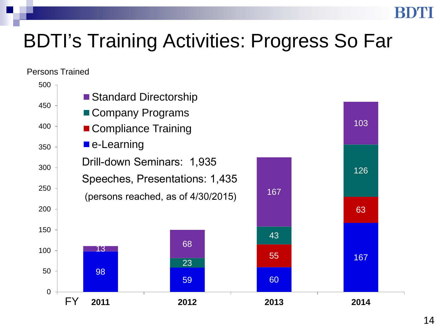### BDTI's Training Activities: Progress So Far

#### Persons Trained

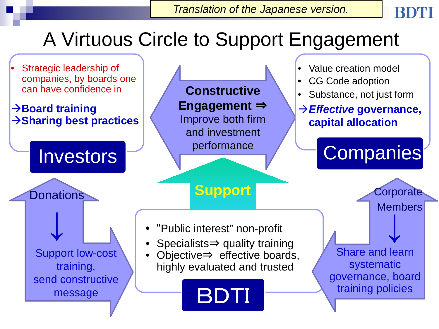## A Virtuous Circle to Support Engagement

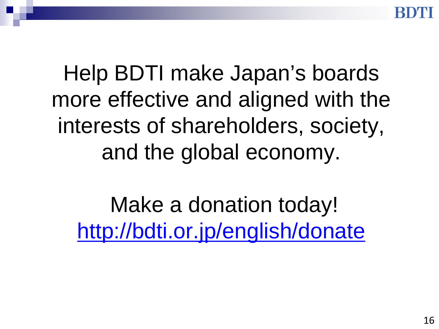Help BDTI make Japan's boards more effective and aligned with the interests of shareholders, society, and the global economy.

Make a donation today! <http://bdti.or.jp/english/donate>